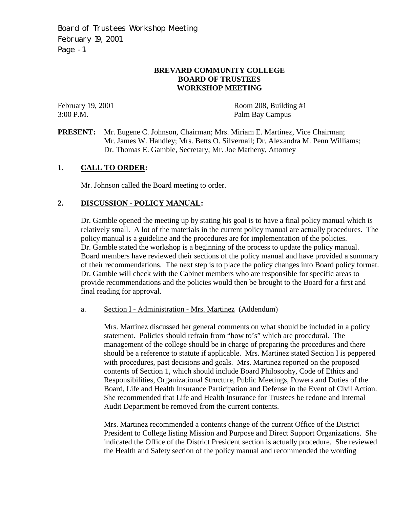Board of Trustees Workshop Meeting February 19, 2001 Page -1-

# **BREVARD COMMUNITY COLLEGE BOARD OF TRUSTEES WORKSHOP MEETING**

February 19, 2001 Room 208, Building #1 3:00 P.M. Palm Bay Campus

**PRESENT:** Mr. Eugene C. Johnson, Chairman; Mrs. Miriam E. Martinez, Vice Chairman; Mr. James W. Handley; Mrs. Betts O. Silvernail; Dr. Alexandra M. Penn Williams; Dr. Thomas E. Gamble, Secretary; Mr. Joe Matheny, Attorney

## **1. CALL TO ORDER:**

Mr. Johnson called the Board meeting to order.

## **2. DISCUSSION - POLICY MANUAL:**

Dr. Gamble opened the meeting up by stating his goal is to have a final policy manual which is relatively small. A lot of the materials in the current policy manual are actually procedures. The policy manual is a guideline and the procedures are for implementation of the policies. Dr. Gamble stated the workshop is a beginning of the process to update the policy manual. Board members have reviewed their sections of the policy manual and have provided a summary of their recommendations. The next step is to place the policy changes into Board policy format. Dr. Gamble will check with the Cabinet members who are responsible for specific areas to provide recommendations and the policies would then be brought to the Board for a first and final reading for approval.

a. Section I - Administration - Mrs. Martinez (Addendum)

Mrs. Martinez discussed her general comments on what should be included in a policy statement. Policies should refrain from "how to's" which are procedural. The management of the college should be in charge of preparing the procedures and there should be a reference to statute if applicable. Mrs. Martinez stated Section I is peppered with procedures, past decisions and goals. Mrs. Martinez reported on the proposed contents of Section 1, which should include Board Philosophy, Code of Ethics and Responsibilities, Organizational Structure, Public Meetings, Powers and Duties of the Board, Life and Health Insurance Participation and Defense in the Event of Civil Action. She recommended that Life and Health Insurance for Trustees be redone and Internal Audit Department be removed from the current contents.

Mrs. Martinez recommended a contents change of the current Office of the District President to College listing Mission and Purpose and Direct Support Organizations. She indicated the Office of the District President section is actually procedure. She reviewed the Health and Safety section of the policy manual and recommended the wording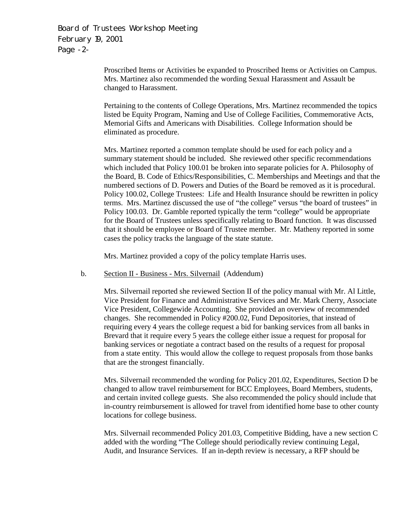Board of Trustees Workshop Meeting February 19, 2001 Page -2-

> Proscribed Items or Activities be expanded to Proscribed Items or Activities on Campus. Mrs. Martinez also recommended the wording Sexual Harassment and Assault be changed to Harassment.

> Pertaining to the contents of College Operations, Mrs. Martinez recommended the topics listed be Equity Program, Naming and Use of College Facilities, Commemorative Acts, Memorial Gifts and Americans with Disabilities. College Information should be eliminated as procedure.

Mrs. Martinez reported a common template should be used for each policy and a summary statement should be included. She reviewed other specific recommendations which included that Policy 100.01 be broken into separate policies for A. Philosophy of the Board, B. Code of Ethics/Responsibilities, C. Memberships and Meetings and that the numbered sections of D. Powers and Duties of the Board be removed as it is procedural. Policy 100.02, College Trustees: Life and Health Insurance should be rewritten in policy terms. Mrs. Martinez discussed the use of "the college" versus "the board of trustees" in Policy 100.03. Dr. Gamble reported typically the term "college" would be appropriate for the Board of Trustees unless specifically relating to Board function. It was discussed that it should be employee or Board of Trustee member. Mr. Matheny reported in some cases the policy tracks the language of the state statute.

Mrs. Martinez provided a copy of the policy template Harris uses.

b. Section II - Business - Mrs. Silvernail (Addendum)

Mrs. Silvernail reported she reviewed Section II of the policy manual with Mr. Al Little, Vice President for Finance and Administrative Services and Mr. Mark Cherry, Associate Vice President, Collegewide Accounting. She provided an overview of recommended changes. She recommended in Policy #200.02, Fund Depositories, that instead of requiring every 4 years the college request a bid for banking services from all banks in Brevard that it require every 5 years the college either issue a request for proposal for banking services or negotiate a contract based on the results of a request for proposal from a state entity. This would allow the college to request proposals from those banks that are the strongest financially.

Mrs. Silvernail recommended the wording for Policy 201.02, Expenditures, Section D be changed to allow travel reimbursement for BCC Employees, Board Members, students, and certain invited college guests. She also recommended the policy should include that in-country reimbursement is allowed for travel from identified home base to other county locations for college business.

Mrs. Silvernail recommended Policy 201.03, Competitive Bidding, have a new section C added with the wording "The College should periodically review continuing Legal, Audit, and Insurance Services. If an in-depth review is necessary, a RFP should be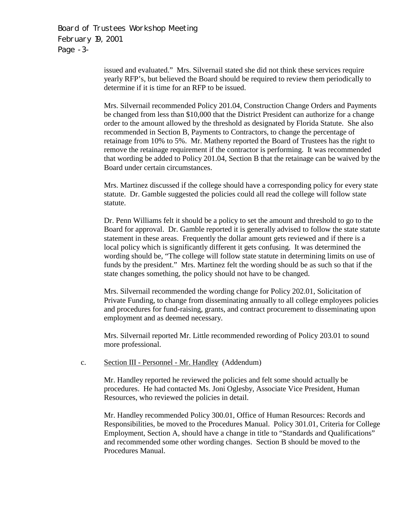Board of Trustees Workshop Meeting February 19, 2001 Page -3-

> issued and evaluated." Mrs. Silvernail stated she did not think these services require yearly RFP's, but believed the Board should be required to review them periodically to determine if it is time for an RFP to be issued.

Mrs. Silvernail recommended Policy 201.04, Construction Change Orders and Payments be changed from less than \$10,000 that the District President can authorize for a change order to the amount allowed by the threshold as designated by Florida Statute. She also recommended in Section B, Payments to Contractors, to change the percentage of retainage from 10% to 5%. Mr. Matheny reported the Board of Trustees has the right to remove the retainage requirement if the contractor is performing. It was recommended that wording be added to Policy 201.04, Section B that the retainage can be waived by the Board under certain circumstances.

Mrs. Martinez discussed if the college should have a corresponding policy for every state statute. Dr. Gamble suggested the policies could all read the college will follow state statute.

Dr. Penn Williams felt it should be a policy to set the amount and threshold to go to the Board for approval. Dr. Gamble reported it is generally advised to follow the state statute statement in these areas. Frequently the dollar amount gets reviewed and if there is a local policy which is significantly different it gets confusing. It was determined the wording should be, "The college will follow state statute in determining limits on use of funds by the president." Mrs. Martinez felt the wording should be as such so that if the state changes something, the policy should not have to be changed.

Mrs. Silvernail recommended the wording change for Policy 202.01, Solicitation of Private Funding, to change from disseminating annually to all college employees policies and procedures for fund-raising, grants, and contract procurement to disseminating upon employment and as deemed necessary.

Mrs. Silvernail reported Mr. Little recommended rewording of Policy 203.01 to sound more professional.

c. Section III - Personnel - Mr. Handley (Addendum)

Mr. Handley reported he reviewed the policies and felt some should actually be procedures. He had contacted Ms. Joni Oglesby, Associate Vice President, Human Resources, who reviewed the policies in detail.

Mr. Handley recommended Policy 300.01, Office of Human Resources: Records and Responsibilities, be moved to the Procedures Manual. Policy 301.01, Criteria for College Employment, Section A, should have a change in title to "Standards and Qualifications" and recommended some other wording changes. Section B should be moved to the Procedures Manual.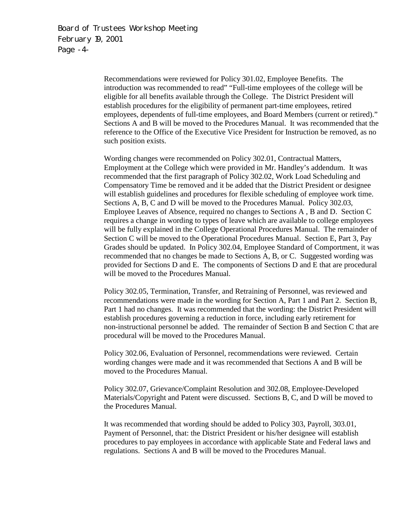Board of Trustees Workshop Meeting February 19, 2001 Page -4-

> Recommendations were reviewed for Policy 301.02, Employee Benefits. The introduction was recommended to read" "Full-time employees of the college will be eligible for all benefits available through the College. The District President will establish procedures for the eligibility of permanent part-time employees, retired employees, dependents of full-time employees, and Board Members (current or retired)." Sections A and B will be moved to the Procedures Manual. It was recommended that the reference to the Office of the Executive Vice President for Instruction be removed, as no such position exists.

> Wording changes were recommended on Policy 302.01, Contractual Matters, Employment at the College which were provided in Mr. Handley's addendum. It was recommended that the first paragraph of Policy 302.02, Work Load Scheduling and Compensatory Time be removed and it be added that the District President or designee will establish guidelines and procedures for flexible scheduling of employee work time. Sections A, B, C and D will be moved to the Procedures Manual. Policy 302.03, Employee Leaves of Absence, required no changes to Sections A , B and D. Section C requires a change in wording to types of leave which are available to college employees will be fully explained in the College Operational Procedures Manual. The remainder of Section C will be moved to the Operational Procedures Manual. Section E, Part 3, Pay Grades should be updated. In Policy 302.04, Employee Standard of Comportment, it was recommended that no changes be made to Sections A, B, or C. Suggested wording was provided for Sections D and E. The components of Sections D and E that are procedural will be moved to the Procedures Manual.

> Policy 302.05, Termination, Transfer, and Retraining of Personnel, was reviewed and recommendations were made in the wording for Section A, Part 1 and Part 2. Section B, Part 1 had no changes. It was recommended that the wording: the District President will establish procedures governing a reduction in force, including early retirement for non-instructional personnel be added. The remainder of Section B and Section C that are procedural will be moved to the Procedures Manual.

Policy 302.06, Evaluation of Personnel, recommendations were reviewed. Certain wording changes were made and it was recommended that Sections A and B will be moved to the Procedures Manual.

Policy 302.07, Grievance/Complaint Resolution and 302.08, Employee-Developed Materials/Copyright and Patent were discussed. Sections B, C, and D will be moved to the Procedures Manual.

It was recommended that wording should be added to Policy 303, Payroll, 303.01, Payment of Personnel, that: the District President or his/her designee will establish procedures to pay employees in accordance with applicable State and Federal laws and regulations. Sections A and B will be moved to the Procedures Manual.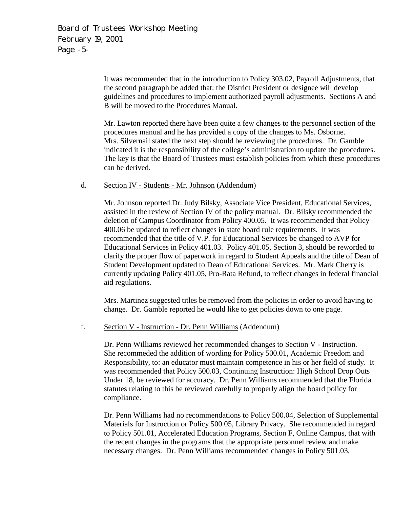Board of Trustees Workshop Meeting February 19, 2001 Page -5-

> It was recommended that in the introduction to Policy 303.02, Payroll Adjustments, that the second paragraph be added that: the District President or designee will develop guidelines and procedures to implement authorized payroll adjustments. Sections A and B will be moved to the Procedures Manual.

Mr. Lawton reported there have been quite a few changes to the personnel section of the procedures manual and he has provided a copy of the changes to Ms. Osborne. Mrs. Silvernail stated the next step should be reviewing the procedures. Dr. Gamble indicated it is the responsibility of the college's administration to update the procedures. The key is that the Board of Trustees must establish policies from which these procedures can be derived.

### d. Section IV - Students - Mr. Johnson (Addendum)

Mr. Johnson reported Dr. Judy Bilsky, Associate Vice President, Educational Services, assisted in the review of Section IV of the policy manual. Dr. Bilsky recommended the deletion of Campus Coordinator from Policy 400.05. It was recommended that Policy 400.06 be updated to reflect changes in state board rule requirements. It was recommended that the title of V.P. for Educational Services be changed to AVP for Educational Services in Policy 401.03. Policy 401.05, Section 3, should be reworded to clarify the proper flow of paperwork in regard to Student Appeals and the title of Dean of Student Development updated to Dean of Educational Services. Mr. Mark Cherry is currently updating Policy 401.05, Pro-Rata Refund, to reflect changes in federal financial aid regulations.

Mrs. Martinez suggested titles be removed from the policies in order to avoid having to change. Dr. Gamble reported he would like to get policies down to one page.

#### f. Section V - Instruction - Dr. Penn Williams (Addendum)

 Dr. Penn Williams reviewed her recommended changes to Section V - Instruction. She recommeded the addition of wording for Policy 500.01, Academic Freedom and Responsibility, to: an educator must maintain competence in his or her field of study. It was recommended that Policy 500.03, Continuing Instruction: High School Drop Outs Under 18, be reviewed for accuracy. Dr. Penn Williams recommended that the Florida statutes relating to this be reviewed carefully to properly align the board policy for compliance.

Dr. Penn Williams had no recommendations to Policy 500.04, Selection of Supplemental Materials for Instruction or Policy 500.05, Library Privacy. She recommended in regard to Policy 501.01, Accelerated Education Programs, Section F, Online Campus, that with the recent changes in the programs that the appropriate personnel review and make necessary changes. Dr. Penn Williams recommended changes in Policy 501.03,